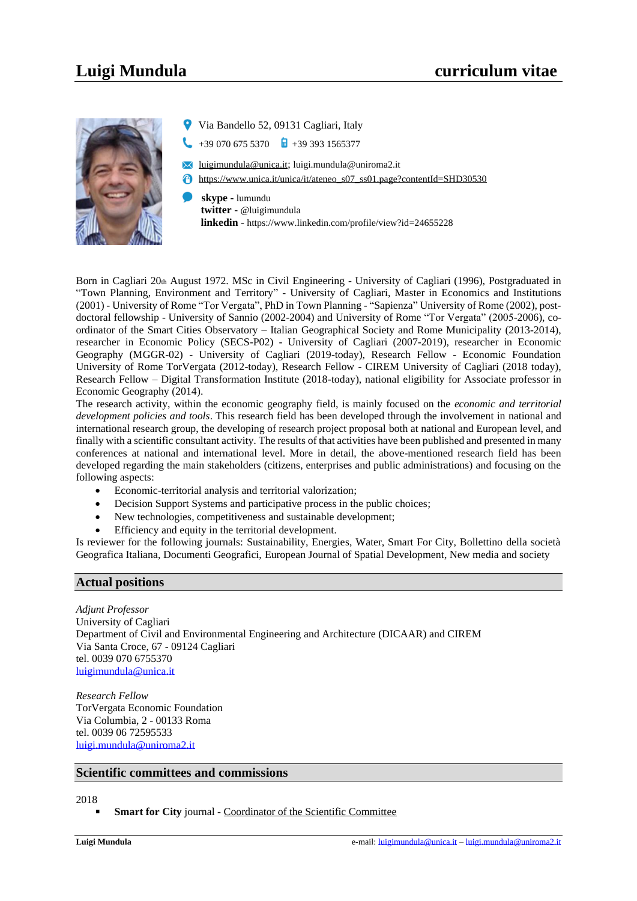

- Via Bandello 52, 09131 Cagliari, Italy
- $+39,070,675,5370$   $+39,393,1565377$
- $\blacktriangleright$ luigimundula@unica.it; luigi.mundula@uniroma2.it
- https://www.unica.it/unica/it/ateneo\_s07\_ss01.page?contentId=SHD30530
- **skype -** lumundu **twitter** - @luigimundula  **linkedin** - https://www.linkedin.com/profile/view?id=24655228

Born in Cagliari 20th August 1972. MSc in Civil Engineering - University of Cagliari (1996), Postgraduated in "Town Planning, Environment and Territory" - University of Cagliari, Master in Economics and Institutions (2001) - University of Rome "Tor Vergata", PhD in Town Planning - "Sapienza" University of Rome (2002), postdoctoral fellowship - University of Sannio (2002-2004) and University of Rome "Tor Vergata" (2005-2006), coordinator of the Smart Cities Observatory – Italian Geographical Society and Rome Municipality (2013-2014), researcher in Economic Policy (SECS-P02) - University of Cagliari (2007-2019), researcher in Economic Geography (MGGR-02) - University of Cagliari (2019-today), Research Fellow - Economic Foundation University of Rome TorVergata (2012-today), Research Fellow - CIREM University of Cagliari (2018 today), Research Fellow – Digital Transformation Institute (2018-today), national eligibility for Associate professor in Economic Geography (2014).

The research activity, within the economic geography field, is mainly focused on the *economic and territorial development policies and tools*. This research field has been developed through the involvement in national and international research group, the developing of research project proposal both at national and European level, and finally with a scientific consultant activity. The results of that activities have been published and presented in many conferences at national and international level. More in detail, the above-mentioned research field has been developed regarding the main stakeholders (citizens, enterprises and public administrations) and focusing on the following aspects:

- Economic-territorial analysis and territorial valorization;
- Decision Support Systems and participative process in the public choices;
- New technologies, competitiveness and sustainable development;
- Efficiency and equity in the territorial development.

Is reviewer for the following journals: Sustainability, Energies, Water, Smart For City, Bollettino della società Geografica Italiana, Documenti Geografici, European Journal of Spatial Development, New media and society

# **Actual positions**

*Adjunt Professor* University of Cagliari Department of Civil and Environmental Engineering and Architecture (DICAAR) and CIREM Via Santa Croce, 67 - 09124 Cagliari tel. 0039 070 6755370 [luigimundula@unica.it](mailto:luigimundula@unica.it)

*Research Fellow* TorVergata Economic Foundation Via Columbia, 2 - 00133 Roma tel. 0039 06 72595533 [luigi.mundula@uniroma2.it](mailto:luigi.mundula@uniroma2.it)

# **Scientific committees and commissions**

# 2018

**Smart for City** journal - Coordinator of the Scientific Committee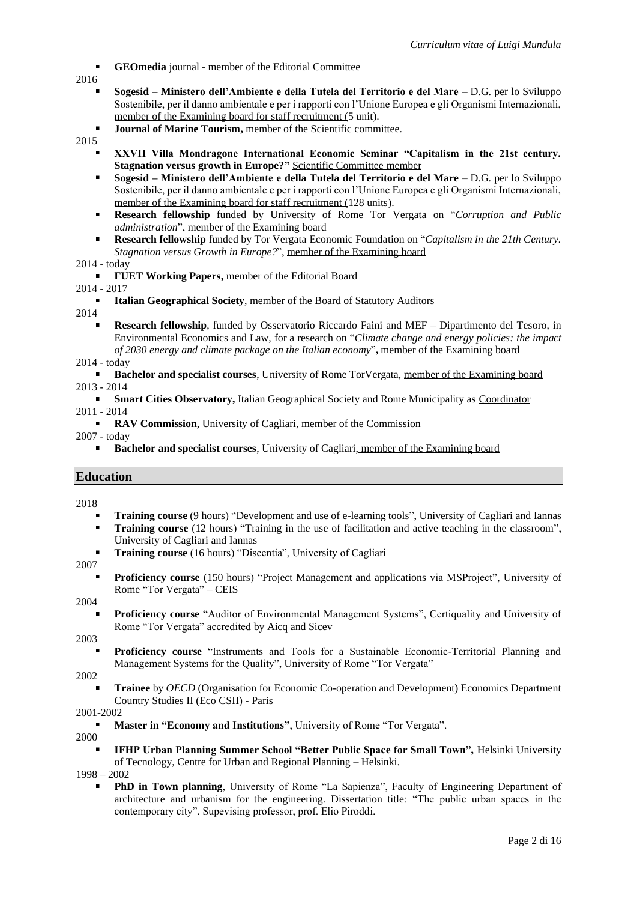- **GEOmedia** journal member of the Editorial Committee
- 2016
	- **Sogesid – Ministero dell'Ambiente e della Tutela del Territorio e del Mare** D.G. per lo Sviluppo Sostenibile, per il danno ambientale e per i rapporti con l'Unione Europea e gli Organismi Internazionali, member of the Examining board for staff recruitment (5 unit).
	- **Journal of Marine Tourism,** member of the Scientific committee.
- 2015
	- **XXVII Villa Mondragone International Economic Seminar "Capitalism in the 21st century. Stagnation versus growth in Europe?"** Scientific Committee member
	- **Sogesid – Ministero dell'Ambiente e della Tutela del Territorio e del Mare** D.G. per lo Sviluppo Sostenibile, per il danno ambientale e per i rapporti con l'Unione Europea e gli Organismi Internazionali, member of the Examining board for staff recruitment (128 units).
	- **Research fellowship** funded by University of Rome Tor Vergata on "*Corruption and Public*   $\blacksquare$ *administration*", member of the Examining board
	- $\blacksquare$ **Research fellowship** funded by Tor Vergata Economic Foundation on "*Capitalism in the 21th Century. Stagnation versus Growth in Europe?*", member of the Examining board

## 2014 - today

**FUET Working Papers,** member of the Editorial Board

2014 - 2017

**Italian Geographical Society**, member of the Board of Statutory Auditors

2014

- **Research fellowship**, funded by Osservatorio Riccardo Faini and MEF Dipartimento del Tesoro, in Environmental Economics and Law, for a research on "*Climate change and energy policies: the impact of 2030 energy and climate package on the Italian economy*"**,** member of the Examining board
- 2014 today

**Bachelor and specialist courses**, University of Rome TorVergata, member of the Examining board 2013 - 2014

- **Smart Cities Observatory,** Italian Geographical Society and Rome Municipality as Coordinator 2011 - 2014
	- **RAV Commission**, University of Cagliari, member of the Commission

2007 - today

 $\mathbf{m}$  . **Bachelor and specialist courses**, University of Cagliari, member of the Examining board

# **Education**

2018

- **Training course** (9 hours) "Development and use of e-learning tools", University of Cagliari and Iannas
- **Training course** (12 hours) "Training in the use of facilitation and active teaching in the classroom", University of Cagliari and Iannas
- **Training course** (16 hours) "Discentia", University of Cagliari

2007

**Proficiency course** (150 hours) "Project Management and applications via MSProject", University of Rome "Tor Vergata" – CEIS

2004

**Proficiency course** "Auditor of Environmental Management Systems", Certiquality and University of Rome "Tor Vergata" accredited by Aicq and Sicev

2003

**Proficiency course** "Instruments and Tools for a Sustainable Economic-Territorial Planning and Management Systems for the Quality", University of Rome "Tor Vergata"

2002

**Trainee** by *OECD* (Organisation for Economic Co-operation and Development) Economics Department Country Studies II (Eco CSII) - Paris

2001-2002

**Master in "Economy and Institutions"**, University of Rome "Tor Vergata".

2000

**IFHP Urban Planning Summer School "Better Public Space for Small Town",** Helsinki University of Tecnology, Centre for Urban and Regional Planning – Helsinki.

1998 – 2002

**PhD in Town planning**, University of Rome "La Sapienza", Faculty of Engineering Department of architecture and urbanism for the engineering. Dissertation title: "The public urban spaces in the contemporary city". Supevising professor, prof. Elio Piroddi.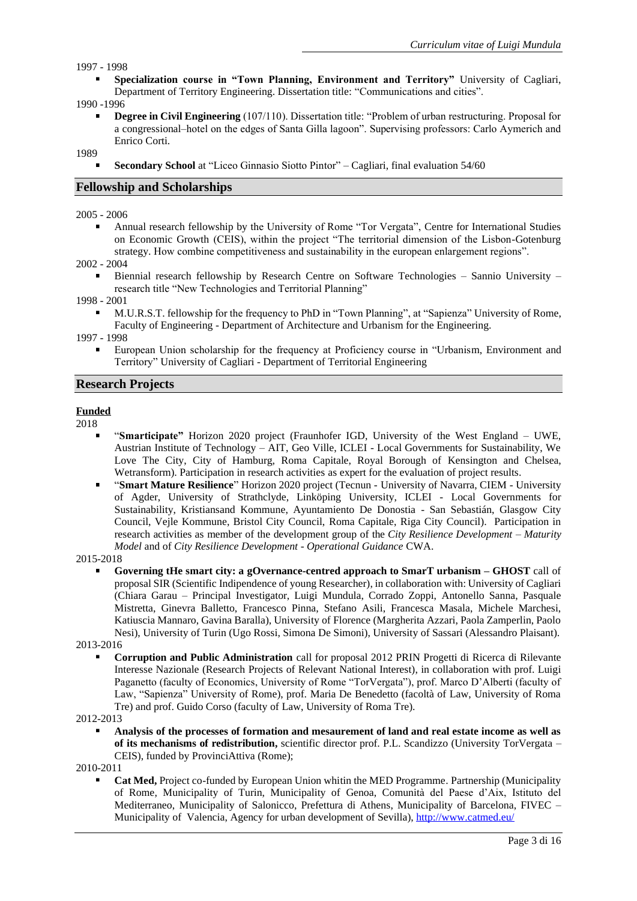1997 - 1998

**Specialization course in "Town Planning, Environment and Territory"** University of Cagliari, Department of Territory Engineering. Dissertation title: "Communications and cities".

1990 -1996

**Degree in Civil Engineering** (107/110). Dissertation title: "Problem of urban restructuring. Proposal for a congressional–hotel on the edges of Santa Gilla lagoon". Supervising professors: Carlo Aymerich and Enrico Corti.

1989

**Secondary School** at "Liceo Ginnasio Siotto Pintor" – Cagliari, final evaluation 54/60

# **Fellowship and Scholarships**

2005 - 2006

 $\blacksquare$ Annual research fellowship by the University of Rome "Tor Vergata", Centre for International Studies on Economic Growth (CEIS), within the project "The territorial dimension of the Lisbon-Gotenburg strategy. How combine competitiveness and sustainability in the european enlargement regions".

2002 - 2004

Biennial research fellowship by Research Centre on Software Technologies – Sannio University – research title "New Technologies and Territorial Planning"

1998 - 2001

M.U.R.S.T. fellowship for the frequency to PhD in "Town Planning", at "Sapienza" University of Rome, Faculty of Engineering - Department of Architecture and Urbanism for the Engineering.

1997 - 1998

European Union scholarship for the frequency at Proficiency course in "Urbanism, Environment and Territory" University of Cagliari - Department of Territorial Engineering

## **Research Projects**

### **Funded**

2018

- "**Smarticipate"** Horizon 2020 project (Fraunhofer IGD, University of the West England UWE, Austrian Institute of Technology – AIT, Geo Ville, ICLEI - Local Governments for Sustainability, We Love The City, City of Hamburg, Roma Capitale, Royal Borough of Kensington and Chelsea, Wetransform). Participation in research activities as expert for the evaluation of project results.
- "**Smart Mature Resilience**" Horizon 2020 project (Tecnun University of Navarra, CIEM University  $\blacksquare$ of Agder, University of Strathclyde, Linköping University, ICLEI - Local Governments for Sustainability, Kristiansand Kommune, Ayuntamiento De Donostia - San Sebastián, Glasgow City Council, Vejle Kommune, Bristol City Council, Roma Capitale, Riga City Council). Participation in research activities as member of the development group of the *City Resilience Development – Maturity Model* and of *City Resilience Development - Operational Guidance* CWA.

2015-2018

**Governing tHe smart city: a gOvernance-centred approach to SmarT urbanism – GHOST** call of proposalSIR (Scientific Indipendence of young Researcher), in collaboration with: University of Cagliari (Chiara Garau – Principal Investigator, Luigi Mundula, Corrado Zoppi, Antonello Sanna, Pasquale Mistretta, Ginevra Balletto, Francesco Pinna, Stefano Asili, Francesca Masala, Michele Marchesi, Katiuscia Mannaro, Gavina Baralla), University of Florence (Margherita Azzari, Paola Zamperlin, Paolo Nesi), University of Turin (Ugo Rossi, Simona De Simoni), University of Sassari (Alessandro Plaisant).

2013-2016

**Corruption and Public Administration** call for proposal 2012 PRIN Progetti di Ricerca di Rilevante Interesse Nazionale (Research Projects of Relevant National Interest), in collaboration with prof. Luigi Paganetto (faculty of Economics, University of Rome "TorVergata"), prof. Marco D'Alberti (faculty of Law, "Sapienza" University of Rome), prof. Maria De Benedetto (facoltà of Law, University of Roma Tre) and prof. Guido Corso (faculty of Law, University of Roma Tre).

2012-2013

**Analysis of the processes of formation and mesaurement of land and real estate income as well as of its mechanisms of redistribution,** scientific director prof. P.L. Scandizzo (University TorVergata – CEIS), funded by ProvinciAttiva (Rome);

2010-2011

**Cat Med,** Project co-funded by European Union whitin the MED Programme. Partnership (Municipality of Rome, Municipality of Turin, Municipality of Genoa, Comunità del Paese d'Aix, Istituto del Mediterraneo, Municipality of Salonicco, Prefettura di Athens, Municipality of Barcelona, FIVEC – Municipality of Valencia, Agency for urban development of Sevilla), <http://www.catmed.eu/>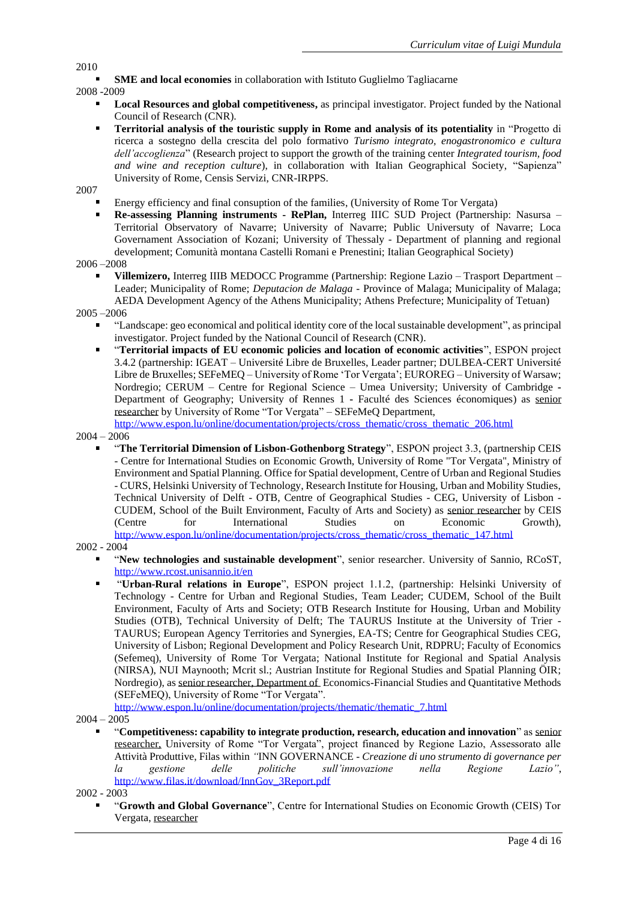**SME and local economies** in collaboration with Istituto Guglielmo Tagliacarne

2008 -2009

- **Local Resources and global competitiveness,** as principal investigator. Project funded by the National Council of Research (CNR).
- **Territorial analysis of the touristic supply in Rome and analysis of its potentiality** in "Progetto di ricerca a sostegno della crescita del polo formativo *Turismo integrato, enogastronomico e cultura dell'accoglienza*" (Research project to support the growth of the training center *Integrated tourism, food and wine and reception culture*), in collaboration with Italian Geographical Society, "Sapienza" University of Rome, Censis Servizi, CNR-IRPPS.

2007

- Energy efficiency and final consuption of the families, (University of Rome Tor Vergata)
- **Re-assessing Planning instruments - RePlan,** Interreg IIIC SUD Project (Partnership: Nasursa Territorial Observatory of Navarre; University of Navarre; Public Universuty of Navarre; Loca Governament Association of Kozani; University of Thessaly - Department of planning and regional development; Comunità montana Castelli Romani e Prenestini; Italian Geographical Society)

2006 –2008

**Villemizero,** Interreg IIIB MEDOCC Programme (Partnership: Regione Lazio – Trasport Department – Leader; Municipality of Rome; *Deputacion de Malaga* - Province of Malaga; Municipality of Malaga; AEDA Development Agency of the Athens Municipality; Athens Prefecture; Municipality of Tetuan)

2005 –2006

- "Landscape: geo economical and political identity core of the local sustainable development", as principal investigator. Project funded by the National Council of Research (CNR).
- "**Territorial impacts of EU economic policies and location of economic activities**", ESPON project 3.4.2 (partnership: IGEAT – Université Libre de Bruxelles, Leader partner; DULBEA-CERT Université Libre de Bruxelles; SEFeMEQ – University of Rome 'Tor Vergata'; EUROREG – University of Warsaw; Nordregio; CERUM – Centre for Regional Science – Umea University; University of Cambridge **-** Department of Geography; University of Rennes 1 **-** Faculté des Sciences économiques) as senior researcher by University of Rome "Tor Vergata" – SEFeMeQ Department,

[http://www.espon.lu/online/documentation/projects/cross\\_thematic/cross\\_thematic\\_206.html](http://www.espon.lu/online/documentation/projects/cross_thematic/cross_thematic_206.html)

2004 – 2006

"**The Territorial Dimension of Lisbon-Gothenborg Strategy**", ESPON project 3.3, (partnership CEIS - Centre for International Studies on Economic Growth, University of Rome "Tor Vergata", Ministry of Environment and Spatial Planning. Office for Spatial development, Centre of Urban and Regional Studies - CURS, Helsinki University of Technology, Research Institute for Housing, Urban and Mobility Studies, Technical University of Delft - OTB, Centre of Geographical Studies - CEG, University of Lisbon - CUDEM, School of the Built Environment, Faculty of Arts and Society) as senior researcher by CEIS (Centre for International Studies on Economic Growth), [http://www.espon.lu/online/documentation/projects/cross\\_thematic/cross\\_thematic\\_147.html](http://www.espon.lu/online/documentation/projects/cross_thematic/cross_thematic_147.html)

2002 - 2004

- "**New technologies and sustainable development**", senior researcher. University of Sannio, RCoST, <http://www.rcost.unisannio.it/en>
- "**Urban-Rural relations in Europe**", ESPON project 1.1.2, (partnership: Helsinki University of Technology - Centre for Urban and Regional Studies, Team Leader; CUDEM, School of the Built Environment, Faculty of Arts and Society; OTB Research Institute for Housing, Urban and Mobility Studies (OTB), Technical University of Delft; The TAURUS Institute at the University of Trier - TAURUS; European Agency Territories and Synergies, EA-TS; Centre for Geographical Studies CEG, University of Lisbon; Regional Development and Policy Research Unit, RDPRU; Faculty of Economics (Sefemeq), University of Rome Tor Vergata; National Institute for Regional and Spatial Analysis (NIRSA), NUI Maynooth; Mcrit sl.; Austrian Institute for Regional Studies and Spatial Planning ÖIR; Nordregio), as senior researcher, Department of Economics-Financial Studies and Quantitative Methods (SEFeMEQ), University of Rome "Tor Vergata".

[http://www.espon.lu/online/documentation/projects/thematic/thematic\\_7.html](http://www.espon.lu/online/documentation/projects/thematic/thematic_7.html)

 $2004 - 2005$ 

"**Competitiveness: capability to integrate production, research, education and innovation**" as senior researcher, University of Rome "Tor Vergata", project financed by Regione Lazio, Assessorato alle Attività Produttive, Filas within *"*INN GOVERNANCE - *Creazione di uno strumento di governance per la gestione delle politiche sull'innovazione nella Regione Lazio"*, [http://www.filas.it/download/InnGov\\_3Report.pdf](http://www.filas.it/download/InnGov_3Report.pdf)

2002 - 2003

"**Growth and Global Governance**", Centre for International Studies on Economic Growth (CEIS) Tor Vergata, researcher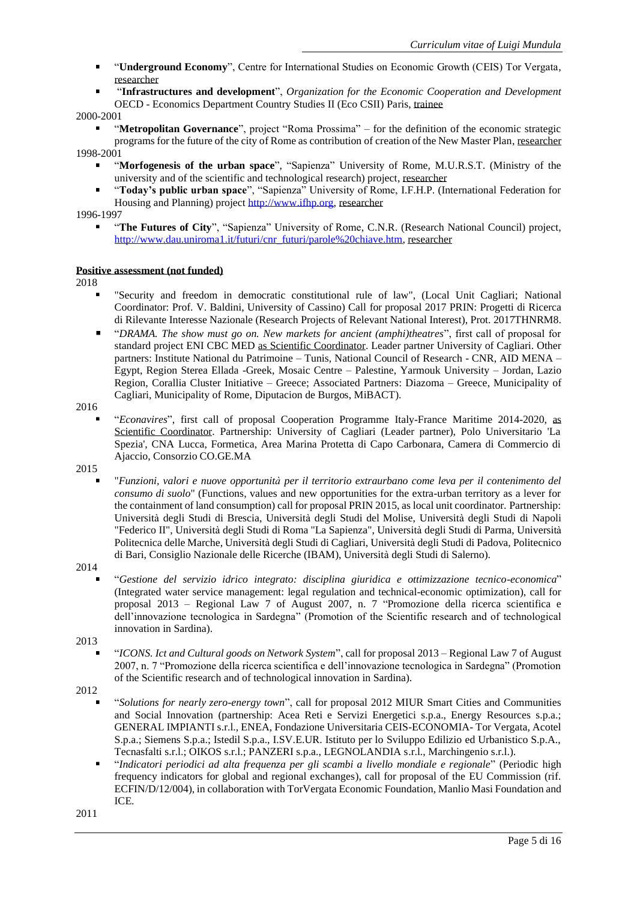- "**Underground Economy**", Centre for International Studies on Economic Growth (CEIS) Tor Vergata, researcher
- "**Infrastructures and development**", *Organization for the Economic Cooperation and Development* OECD - Economics Department Country Studies II (Eco CSII) Paris, trainee

2000-2001

- "**Metropolitan Governance**", project "Roma Prossima" for the definition of the economic strategic programs for the future of the city of Rome as contribution of creation of the New Master Plan, researcher 1998-2001
	- "**Morfogenesis of the urban space**", "Sapienza" University of Rome, M.U.R.S.T. (Ministry of the university and of the scientific and technological research) project, researcher
	- "**Today's public urban space**", "Sapienza" University of Rome, I.F.H.P. (International Federation for Housing and Planning) project [http://www.ifhp.org,](http://www.ifhp.org/) researcher

## 1996-1997

"**The Futures of City**", "Sapienza" University of Rome, C.N.R. (Research National Council) project, [http://www.dau.uniroma1.it/futuri/cnr\\_futuri/parole%20chiave.htm,](http://www.dau.uniroma1.it/futuri/cnr_futuri/parole%20chiave.htm) researcher

### **Positive assessment (not funded)**

2018

- "Security and freedom in democratic constitutional rule of law", (Local Unit Cagliari; National Coordinator: Prof. V. Baldini, University of Cassino) Call for proposal 2017 PRIN: Progetti di Ricerca di Rilevante Interesse Nazionale (Research Projects of Relevant National Interest), Prot. 2017THNRM8.
- $\blacksquare$ "*DRAMA. The show must go on. New markets for ancient (amphi)theatres*", first call of proposal for standard project ENI CBC MED as Scientific Coordinator. Leader partner University of Cagliari. Other partners: Institute National du Patrimoine – Tunis, National Council of Research - CNR, AID MENA – Egypt, Region Sterea Ellada -Greek, Mosaic Centre – Palestine, Yarmouk University – Jordan, Lazio Region, Corallia Cluster Initiative – Greece; Associated Partners: Diazoma – Greece, Municipality of Cagliari, Municipality of Rome, Diputacion de Burgos, MiBACT).

2016

"*Econavires*", first call of proposal Cooperation Programme Italy-France Maritime 2014-2020, as Scientific Coordinator. Partnership: University of Cagliari (Leader partner), Polo Universitario 'La Spezia', CNA Lucca, Formetica, Area Marina Protetta di Capo Carbonara, Camera di Commercio di Ajaccio, Consorzio CO.GE.MA

2015

- "*Funzioni, valori e nuove opportunità per il territorio extraurbano come leva per il contenimento del consumo di suolo*" (Functions, values and new opportunities for the extra-urban territory as a lever for the containment of land consumption) call for proposal PRIN 2015, as local unit coordinator. Partnership: Università degli Studi di Brescia, Università degli Studi del Molise, Università degli Studi di Napoli "Federico II", Università degli Studi di Roma "La Sapienza", Università degli Studi di Parma, Università Politecnica delle Marche, Università degli Studi di Cagliari, Università degli Studi di Padova, Politecnico di Bari, Consiglio Nazionale delle Ricerche (IBAM), Università degli Studi di Salerno).
- 2014
	- "*Gestione del servizio idrico integrato: disciplina giuridica e ottimizzazione tecnico-economica*" (Integrated water service management: legal regulation and technical-economic optimization), call for proposal 2013 – Regional Law 7 of August 2007, n. 7 "Promozione della ricerca scientifica e dell'innovazione tecnologica in Sardegna" (Promotion of the Scientific research and of technological innovation in Sardina).

2013

"*ICONS. Ict and Cultural goods on Network System*", call for proposal 2013 – Regional Law 7 of August 2007, n. 7 "Promozione della ricerca scientifica e dell'innovazione tecnologica in Sardegna" (Promotion of the Scientific research and of technological innovation in Sardina).

2012

- "*Solutions for nearly zero-energy town*", call for proposal 2012 MIUR Smart Cities and Communities and Social Innovation (partnership: Acea Reti e Servizi Energetici s.p.a., Energy Resources s.p.a.; GENERAL IMPIANTI s.r.l., ENEA, Fondazione Universitaria CEIS-ECONOMIA- Tor Vergata, Acotel S.p.a.; Siemens S.p.a.; Istedil S.p.a., I.SV.E.UR. Istituto per lo Sviluppo Edilizio ed Urbanistico S.p.A., Tecnasfalti s.r.l.; OIKOS s.r.l.; PANZERI s.p.a., LEGNOLANDIA s.r.l., Marchingenio s.r.l.).
- "*Indicatori periodici ad alta frequenza per gli scambi a livello mondiale e regionale*" (Periodic high frequency indicators for global and regional exchanges), call for proposal of the EU Commission (rif. ECFIN/D/12/004), in collaboration with TorVergata Economic Foundation, Manlio Masi Foundation and ICE.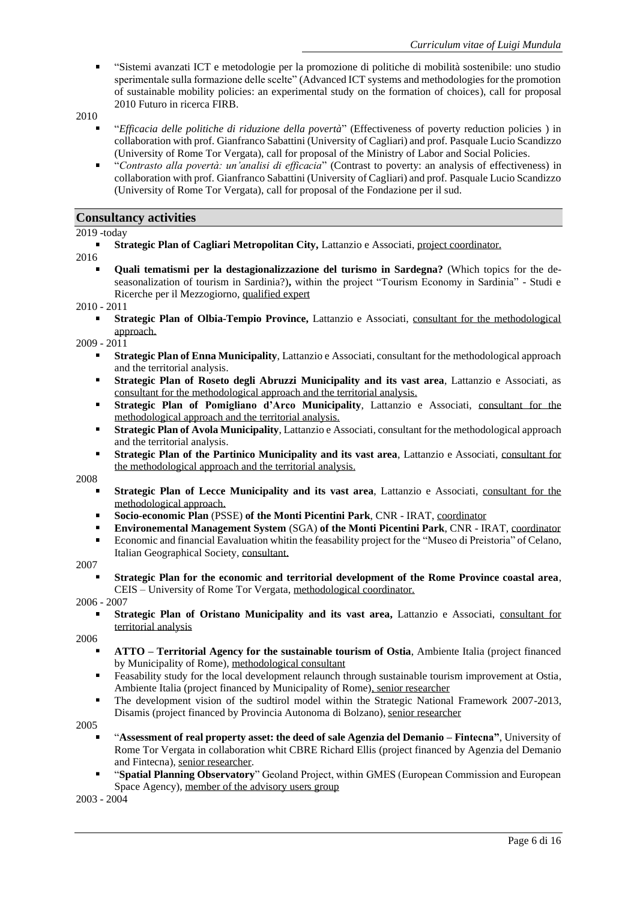- "Sistemi avanzati ICT e metodologie per la promozione di politiche di mobilità sostenibile: uno studio sperimentale sulla formazione delle scelte" (Advanced ICT systems and methodologies for the promotion of sustainable mobility policies: an experimental study on the formation of choices), call for proposal 2010 Futuro in ricerca FIRB.
- 2010
	- "*Efficacia delle politiche di riduzione della povertà*" (Effectiveness of poverty reduction policies ) in collaboration with prof. Gianfranco Sabattini (University of Cagliari) and prof. Pasquale Lucio Scandizzo (University of Rome Tor Vergata), call for proposal of the Ministry of Labor and Social Policies.
	- "*Contrasto alla povertà: un'analisi di efficacia*" (Contrast to poverty: an analysis of effectiveness) in collaboration with prof. Gianfranco Sabattini (University of Cagliari) and prof. Pasquale Lucio Scandizzo (University of Rome Tor Vergata), call for proposal of the Fondazione per il sud.

## **Consultancy activities**

### 2019 -today

**Strategic Plan of Cagliari Metropolitan City,** Lattanzio e Associati, project coordinator.

2016

**Quali tematismi per la destagionalizzazione del turismo in Sardegna?** (Which topics for the deseasonalization of tourism in Sardinia?)**,** within the project "Tourism Economy in Sardinia" - Studi e Ricerche per il Mezzogiorno, qualified expert

#### 2010 - 2011

**Strategic Plan of Olbia-Tempio Province,** Lattanzio e Associati, consultant for the methodological approach.

## 2009 - 2011

- **Strategic Plan of Enna Municipality**, Lattanzio e Associati, consultant for the methodological approach and the territorial analysis.
- **Strategic Plan of Roseto degli Abruzzi Municipality and its vast area**, Lattanzio e Associati, as  $\blacksquare$ consultant for the methodological approach and the territorial analysis.
- **Strategic Plan of Pomigliano d'Arco Municipality**, Lattanzio e Associati, consultant for the  $\blacksquare$ methodological approach and the territorial analysis.
- $\blacksquare$ **Strategic Plan of Avola Municipality**, Lattanzio e Associati, consultant for the methodological approach and the territorial analysis.
- $\blacksquare$ **Strategic Plan of the Partinico Municipality and its vast area**, Lattanzio e Associati, consultant for the methodological approach and the territorial analysis.

2008

- **Strategic Plan of Lecce Municipality and its vast area**, Lattanzio e Associati, consultant for the methodological approach.
- **Socio-economic Plan** (PSSE) **of the Monti Picentini Park**, CNR IRAT, coordinator  $\blacksquare$
- **Environemental Management System** (SGA) **of the Monti Picentini Park**, CNR IRAT, coordinator
- $\blacksquare$ Economic and financial Eavaluation whitin the feasability project for the "Museo di Preistoria" of Celano, Italian Geographical Society, consultant.

2007

**Strategic Plan for the economic and territorial development of the Rome Province coastal area**, CEIS – University of Rome Tor Vergata, methodological coordinator.

2006 - 2007

**Strategic Plan of Oristano Municipality and its vast area,** Lattanzio e Associati, consultant for territorial analysis

2006

- **ATTO – Territorial Agency for the sustainable tourism of Ostia**, Ambiente Italia (project financed by Municipality of Rome), methodological consultant
- $\blacksquare$ Feasability study for the local development relaunch through sustainable tourism improvement at Ostia, Ambiente Italia (project financed by Municipality of Rome), senior researcher
- $\blacksquare$ The development vision of the sudtirol model within the Strategic National Framework 2007-2013, Disamis (project financed by Provincia Autonoma di Bolzano), senior researcher

2005

- "**Assessment of real property asset: the deed of sale Agenzia del Demanio – Fintecna"**, University of Rome Tor Vergata in collaboration whit CBRE Richard Ellis (project financed by Agenzia del Demanio and Fintecna), senior researcher.
- "**Spatial Planning Observatory**" Geoland Project, within GMES (European Commission and European Space Agency), member of the advisory users group

2003 - 2004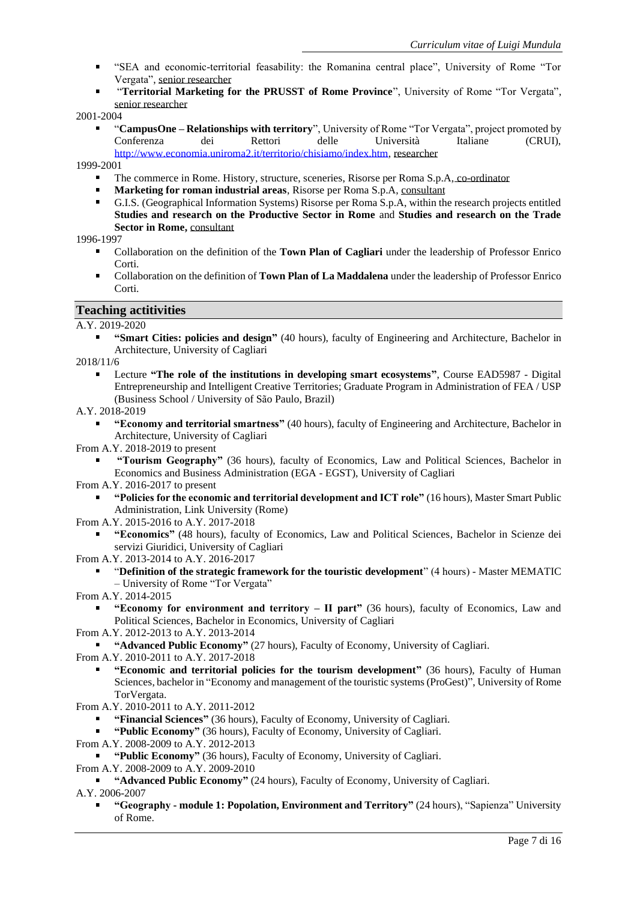- "SEA and economic-territorial feasability: the Romanina central place", University of Rome "Tor Vergata", senior researcher
- "**Territorial Marketing for the PRUSST of Rome Province**", University of Rome "Tor Vergata", senior researcher

2001-2004

"**CampusOne – Relationships with territory**", University of Rome "Tor Vergata", project promoted by Conferenza dei Rettori delle Università Italiane (CRUI), [http://www.economia.uniroma2.it/territorio/chisiamo/index.htm,](http://www.economia.uniroma2.it/territorio/chisiamo/index.htm) researcher

1999-2001

- The commerce in Rome. History, structure, sceneries, Risorse per Roma S.p.A, co-ordinator
- **Marketing for roman industrial areas**, Risorse per Roma S.p.A, consultant
- G.I.S. (Geographical Information Systems) Risorse per Roma S.p.A, within the research projects entitled **Studies and research on the Productive Sector in Rome** and **Studies and research on the Trade Sector in Rome,** consultant

1996-1997

- Collaboration on the definition of the **Town Plan of Cagliari** under the leadership of Professor Enrico Corti.
- Collaboration on the definition of **Town Plan of La Maddalena** under the leadership of Professor Enrico  $\blacksquare$ Corti.

## **Teaching actitivities**

A.Y. 2019-2020

**"Smart Cities: policies and design"** (40 hours), faculty of Engineering and Architecture, Bachelor in Architecture, University of Cagliari

2018/11/6

Lecture **"The role of the institutions in developing smart ecosystems"**, Course EAD5987 - Digital Entrepreneurship and Intelligent Creative Territories; Graduate Program in Administration of FEA / USP (Business School / University of São Paulo, Brazil)

A.Y. 2018-2019

- **"Economy and territorial smartness"** (40 hours), faculty of Engineering and Architecture, Bachelor in Architecture, University of Cagliari
- From A.Y. 2018-2019 to present
	- **"Tourism Geography"** (36 hours), faculty of Economics, Law and Political Sciences, Bachelor in Economics and Business Administration (EGA - EGST), University of Cagliari
- From A.Y. 2016-2017 to present
	- **"Policies for the economic and territorial development and ICT role"** (16 hours), Master Smart Public Administration, Link University (Rome)
- From A.Y. 2015-2016 to A.Y. 2017-2018
	- **"Economics"** (48 hours), faculty of Economics, Law and Political Sciences, Bachelor in Scienze dei servizi Giuridici, University of Cagliari
- From A.Y. 2013-2014 to A.Y. 2016-2017
	- "**Definition of the strategic framework for the touristic development**" (4 hours) Master MEMATIC – University of Rome "Tor Vergata"

From A.Y. 2014-2015

**"Economy for environment and territory – II part"** (36 hours), faculty of Economics, Law and Political Sciences, Bachelor in Economics, University of Cagliari

From A.Y. 2012-2013 to A.Y. 2013-2014

**"Advanced Public Economy"** (27 hours), Faculty of Economy, University of Cagliari.

From A.Y. 2010-2011 to A.Y. 2017-2018

**"Economic and territorial policies for the tourism development"** (36 hours), Faculty of Human Sciences, bachelor in "Economy and management of the touristic systems (ProGest)", University of Rome TorVergata.

From A.Y. 2010-2011 to A.Y. 2011-2012

**"Financial Sciences"** (36 hours), Faculty of Economy, University of Cagliari.

**"Public Economy"** (36 hours), Faculty of Economy, University of Cagliari.

- From A.Y. 2008-2009 to A.Y. 2012-2013
	- **"Public Economy"** (36 hours), Faculty of Economy, University of Cagliari.
- From A.Y. 2008-2009 to A.Y. 2009-2010

**"Advanced Public Economy"** (24 hours), Faculty of Economy, University of Cagliari. A.Y. 2006-2007

**"Geography - module 1: Popolation, Environment and Territory"** (24 hours), "Sapienza" University of Rome.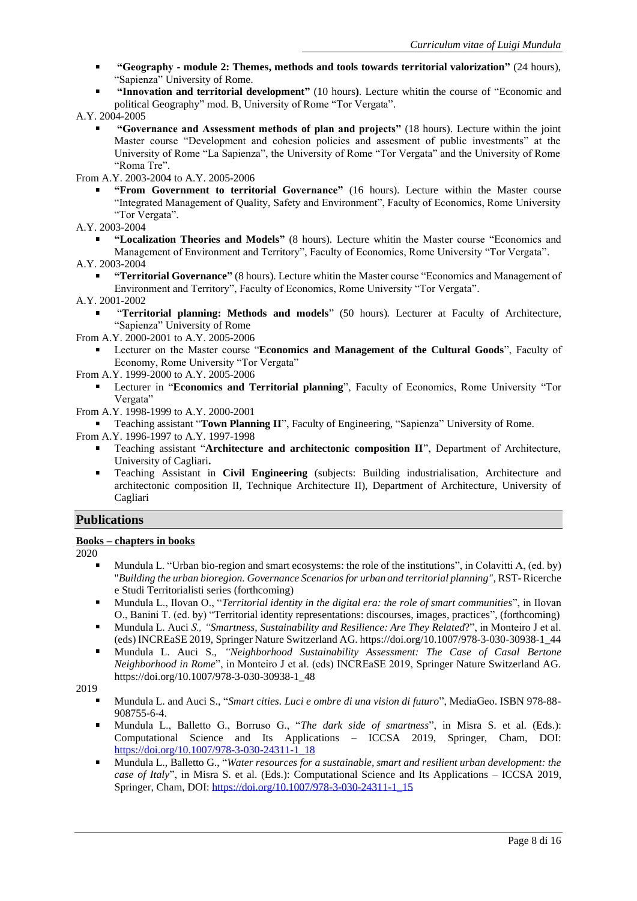- **"Geography - module 2: Themes, methods and tools towards territorial valorization"** (24 hours), "Sapienza" University of Rome.
- **"Innovation and territorial development"** (10 hours**)**. Lecture whitin the course of "Economic and political Geography" mod. B, University of Rome "Tor Vergata".
- A.Y. 2004-2005
	- **"Governance and Assessment methods of plan and projects"** (18 hours). Lecture within the joint Master course "Development and cohesion policies and assesment of public investments" at the University of Rome "La Sapienza", the University of Rome "Tor Vergata" and the University of Rome "Roma Tre".
- From A.Y. 2003-2004 to A.Y. 2005-2006
	- **"From Government to territorial Governance"** (16 hours). Lecture within the Master course "Integrated Management of Quality, Safety and Environment", Faculty of Economics, Rome University "Tor Vergata".
- A.Y. 2003-2004
	- **"Localization Theories and Models"** (8 hours). Lecture whitin the Master course "Economics and Management of Environment and Territory", Faculty of Economics, Rome University "Tor Vergata".
- A.Y. 2003-2004
	- **"Territorial Governance"** (8 hours). Lecture whitin the Master course "Economics and Management of Environment and Territory", Faculty of Economics, Rome University "Tor Vergata".
- A.Y. 2001-2002
	- "**Territorial planning: Methods and models**" (50 hours). Lecturer at Faculty of Architecture, "Sapienza" University of Rome
- From A.Y. 2000-2001 to A.Y. 2005-2006
	- Lecturer on the Master course "**Economics and Management of the Cultural Goods**", Faculty of Economy, Rome University "Tor Vergata"
- From A.Y. 1999-2000 to A.Y. 2005-2006
	- Lecturer in "**Economics and Territorial planning**", Faculty of Economics, Rome University "Tor Vergata"
- From A.Y. 1998-1999 to A.Y. 2000-2001
	- Teaching assistant "**Town Planning II**", Faculty of Engineering, "Sapienza" University of Rome.
- From A.Y. 1996-1997 to A.Y. 1997-1998
	- Teaching assistant "**Architecture and architectonic composition II**", Department of Architecture, University of Cagliari**.**
	- Teaching Assistant in **Civil Engineering** (subjects: Building industrialisation, Architecture and architectonic composition II, Technique Architecture II), Department of Architecture, University of Cagliari

# **Publications**

### **Books – chapters in books**

2020

- Mundula L. "Urban bio-region and smart ecosystems: the role of the institutions", in Colavitti A, (ed. by) "*Building the urban bioregion. Governance Scenarios for urban and territorial planning",* RST- Ricerche e Studi Territorialisti series (forthcoming)
- Mundula L., Ilovan O., "*Territorial identity in the digital era: the role of smart communities*", in Ilovan  $\blacksquare$ O., Banini T. (ed. by) "Territorial identity representations: discourses, images, practices", (forthcoming)
- Mundula L. Auci *S., "Smartness, Sustainability and Resilience: Are They Related*?", in Monteiro J et al.  $\blacksquare$ (eds) INCREaSE 2019, Springer Nature Switzerland AG. https://doi.org/10.1007/978-3-030-30938-1\_44
- $\blacksquare$ Mundula L. Auci S., *"Neighborhood Sustainability Assessment: The Case of Casal Bertone Neighborhood in Rome*", in Monteiro J et al. (eds) INCREaSE 2019, Springer Nature Switzerland AG. https://doi.org/10.1007/978-3-030-30938-1\_48

- Mundula L. and Auci S., "*Smart cities. Luci e ombre di una vision di futuro*", MediaGeo. ISBN 978-88- 908755-6-4.
- Mundula L., Balletto G., Borruso G., "*The dark side of smartness*", in Misra S. et al. (Eds.): Computational Science and Its Applications – ICCSA 2019, Springer, Cham, DOI: [https://doi.org/10.1007/978-3-030-24311-1\\_18](https://doi.org/10.1007/978-3-030-24311-1_18)
- Mundula L., Balletto G., "*Water resources for a sustainable, smart and resilient urban development: the case of Italy*", in Misra S. et al. (Eds.): Computational Science and Its Applications – ICCSA 2019, Springer, Cham, DOI: [https://doi.org/10.1007/978-3-030-24311-1\\_15](https://doi.org/10.1007/978-3-030-24311-1_15)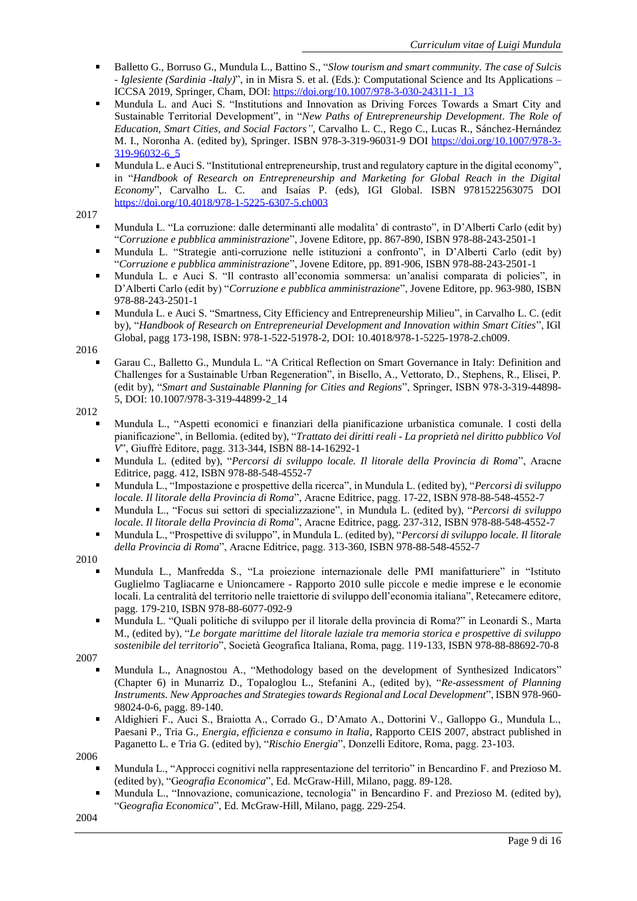- Balletto G., Borruso G., Mundula L., Battino S., "*Slow tourism and smart community. The case of Sulcis - Iglesiente (Sardinia -Italy)*", in in Misra S. et al. (Eds.): Computational Science and Its Applications – ICCSA 2019, Springer, Cham, DOI: [https://doi.org/10.1007/978-3-030-24311-1\\_13](https://doi.org/10.1007/978-3-030-24311-1_13)
- Mundula L. and Auci S. "Institutions and Innovation as Driving Forces Towards a Smart City and Sustainable Territorial Development", in "*New Paths of Entrepreneurship Development. The Role of Education, Smart Cities, and Social Factors"*, Carvalho L. C., Rego C., Lucas R., Sánchez-Hernández M. I., Noronha A. (edited by), Springer. ISBN 978-3-319-96031-9 DOI [https://doi.org/10.1007/978-3-](https://doi.org/10.1007/978-3-319-96032-6_5) [319-96032-6\\_5](https://doi.org/10.1007/978-3-319-96032-6_5)
- Mundula L. e Auci S. "Institutional entrepreneurship, trust and regulatory capture in the digital economy", in "*Handbook of Research on Entrepreneurship and Marketing for Global Reach in the Digital Economy*", Carvalho L. C. and Isaías P. (eds), IGI Global. ISBN 9781522563075 DOI <https://doi.org/10.4018/978-1-5225-6307-5.ch003>

- Mundula L. "La corruzione: dalle determinanti alle modalita' di contrasto", in D'Alberti Carlo (edit by) "*Corruzione e pubblica amministrazione*", Jovene Editore, pp. 867-890, ISBN 978-88-243-2501-1
- Mundula L. "Strategie anti-corruzione nelle istituzioni a confronto", in D'Alberti Carlo (edit by) "*Corruzione e pubblica amministrazione*", Jovene Editore, pp. 891-906, ISBN 978-88-243-2501-1
- Mundula L. e Auci S. "Il contrasto all'economia sommersa: un'analisi comparata di policies", in D'Alberti Carlo (edit by) "*Corruzione e pubblica amministrazione*", Jovene Editore, pp. 963-980, ISBN 978-88-243-2501-1
- Mundula L. e Auci S. "Smartness, City Efficiency and Entrepreneurship Milieu", in Carvalho L. C. (edit by), "*Handbook of Research on Entrepreneurial Development and Innovation within Smart Cities*", IGI Global, pagg 173-198, ISBN: 978-1-522-51978-2, DOI: 10.4018/978-1-5225-1978-2.ch009.

2016

Garau C., Balletto G., Mundula L. "A Critical Reflection on Smart Governance in Italy: Definition and Challenges for a Sustainable Urban Regeneration", in Bisello, A., Vettorato, D., Stephens, R., Elisei, P. (edit by), "*Smart and Sustainable Planning for Cities and Regions*", Springer, ISBN 978-3-319-44898- 5, DOI: 10.1007/978-3-319-44899-2\_14

2012

- Mundula L., "Aspetti economici e finanziari della pianificazione urbanistica comunale. I costi della pianificazione", in Bellomia. (edited by), "*Trattato dei diritti reali* - *La proprietà nel diritto pubblico Vol V*", Giuffrè Editore, pagg. 313-344, ISBN 88-14-16292-1
- Mundula L. (edited by), "*Percorsi di sviluppo locale. Il litorale della Provincia di Roma*", Aracne Editrice, pagg. 412, ISBN 978-88-548-4552-7
- $\blacksquare$ Mundula L., "Impostazione e prospettive della ricerca", in Mundula L. (edited by), "*Percorsi di sviluppo locale. Il litorale della Provincia di Roma*", Aracne Editrice, pagg. 17-22, ISBN 978-88-548-4552-7
- $\blacksquare$ Mundula L., "Focus sui settori di specializzazione", in Mundula L. (edited by), "*Percorsi di sviluppo locale. Il litorale della Provincia di Roma*", Aracne Editrice, pagg. 237-312, ISBN 978-88-548-4552-7
- $\blacksquare$ Mundula L., "Prospettive di sviluppo", in Mundula L. (edited by), "*Percorsi di sviluppo locale. Il litorale della Provincia di Roma*", Aracne Editrice, pagg. 313-360, ISBN 978-88-548-4552-7

2010

- Mundula L., Manfredda S., "La proiezione internazionale delle PMI manifatturiere" in "Istituto Guglielmo Tagliacarne e Unioncamere - Rapporto 2010 sulle piccole e medie imprese e le economie locali. La centralità del territorio nelle traiettorie di sviluppo dell'economia italiana", Retecamere editore, pagg. 179-210, ISBN 978-88-6077-092-9
- Mundula L. "Quali politiche di sviluppo per il litorale della provincia di Roma?" in Leonardi S., Marta M., (edited by), "*Le borgate marittime del litorale laziale tra memoria storica e prospettive di sviluppo sostenibile del territorio*", Società Geografica Italiana, Roma, pagg. 119-133, ISBN 978-88-88692-70-8

2007

- Mundula L., Anagnostou A., "Methodology based on the development of Synthesized Indicators" (Chapter 6) in Munarriz D., Topaloglou L., Stefanini A., (edited by), "*Re-assessment of Planning Instruments. New Approaches and Strategies towards Regional and Local Development*", ISBN 978-960- 98024-0-6, pagg. 89-140.
- Aldighieri F., Auci S., Braiotta A., Corrado G., D'Amato A., Dottorini V., Galloppo G., Mundula L.,  $\blacksquare$ Paesani P., Tria G., *Energia, efficienza e consumo in Italia*, Rapporto CEIS 2007, abstract published in Paganetto L. e Tria G. (edited by), "*Rischio Energia*", Donzelli Editore, Roma, pagg. 23-103.

2006

- Mundula L., "Approcci cognitivi nella rappresentazione del territorio" in Bencardino F. and Prezioso M. (edited by), "G*eografia Economica*", Ed. McGraw-Hill, Milano, pagg. 89-128.
- Mundula L., "Innovazione, comunicazione, tecnologia" in Bencardino F. and Prezioso M. (edited by), "G*eografia Economica*", Ed. McGraw-Hill, Milano, pagg. 229-254.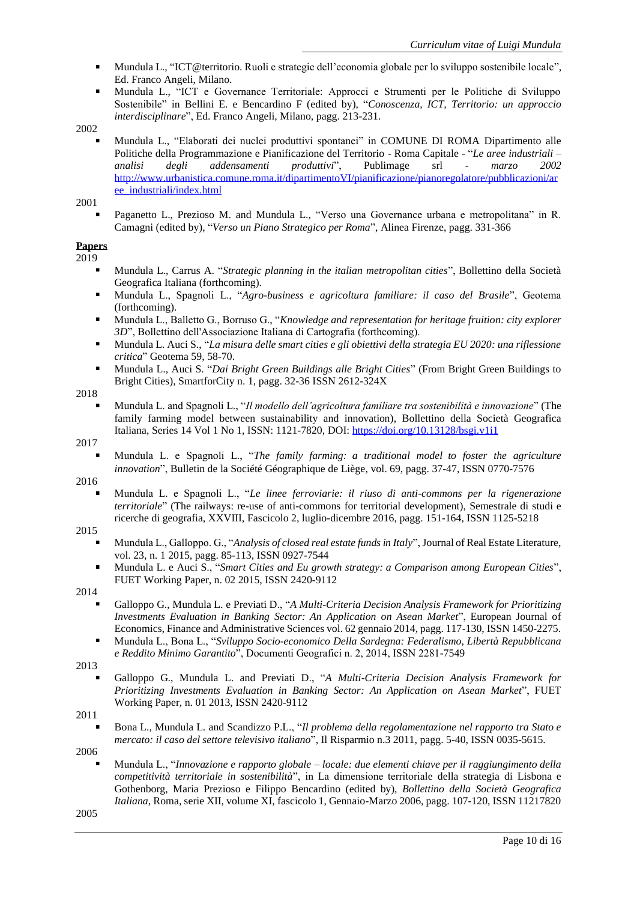- Mundula L., "ICT@territorio. Ruoli e strategie dell'economia globale per lo sviluppo sostenibile locale", Ed. Franco Angeli, Milano.
- Mundula L., "ICT e Governance Territoriale: Approcci e Strumenti per le Politiche di Sviluppo Sostenibile" in Bellini E. e Bencardino F (edited by), "*Conoscenza, ICT, Territorio: un approccio interdisciplinare*", Ed. Franco Angeli, Milano, pagg. 213-231.

Mundula L., "Elaborati dei nuclei produttivi spontanei" in COMUNE DI ROMA Dipartimento alle Politiche della Programmazione e Pianificazione del Territorio - Roma Capitale - "*Le aree industriali – analisi degli addensamenti produttivi*", Publimage srl - *marzo 2002* [http://www.urbanistica.comune.roma.it/dipartimentoVI/pianificazione/pianoregolatore/pubblicazioni/ar](http://www.urbanistica.comune.roma.it/dipartimentoVI/pianificazione/pianoregolatore/pubblicazioni/aree_industriali/index.html) [ee\\_industriali/index.html](http://www.urbanistica.comune.roma.it/dipartimentoVI/pianificazione/pianoregolatore/pubblicazioni/aree_industriali/index.html)

2001

Paganetto L., Prezioso M. and Mundula L., "Verso una Governance urbana e metropolitana" in R. Camagni (edited by), "*Verso un Piano Strategico per Roma*", Alinea Firenze, pagg. 331-366

# **Papers**

2019

- Mundula L., Carrus A. "*Strategic planning in the italian metropolitan cities*", Bollettino della Società Geografica Italiana (forthcoming).
- Mundula L., Spagnoli L., "*Agro-business e agricoltura familiare: il caso del Brasile*", Geotema (forthcoming).
- Mundula L., Balletto G., Borruso G., "*Knowledge and representation for heritage fruition: city explorer 3D*", Bollettino dell'Associazione Italiana di Cartografia (forthcoming).
- Mundula L. Auci S., "*La misura delle smart cities e gli obiettivi della strategia EU 2020: una riflessione*   $\blacksquare$ *critica*" Geotema 59, 58-70.
- $\blacksquare$ Mundula L., Auci S. "*Dai Bright Green Buildings alle Bright Cities*" (From Bright Green Buildings to Bright Cities), SmartforCity n. 1, pagg. 32-36 ISSN 2612-324X

2018

Mundula L. and Spagnoli L., "*Il modello dell'agricoltura familiare tra sostenibilità e innovazione*" (The family farming model between sustainability and innovation), Bollettino della Società Geografica Italiana, Series 14 Vol 1 No 1, ISSN: 1121-7820, DOI: <https://doi.org/10.13128/bsgi.v1i1>

# 2017

Mundula L. e Spagnoli L., "*The family farming: a traditional model to foster the agriculture innovation*", Bulletin de la Société Géographique de Liège, vol. 69, pagg. 37-47, ISSN 0770-7576

2016

Mundula L. e Spagnoli L., "*Le linee ferroviarie: il riuso di anti-commons per la rigenerazione territoriale*" (The railways: re-use of anti-commons for territorial development), Semestrale di studi e ricerche di geografia, XXVIII, Fascicolo 2, luglio-dicembre 2016, pagg. 151-164, ISSN 1125-5218

## 2015

- Mundula L., Galloppo. G., "*Analysis of closed real estate funds in Italy*", Journal of Real Estate Literature, vol. 23, n. 1 2015, pagg. 85-113, ISSN 0927-7544
- $\blacksquare$ Mundula L. e Auci S., "*Smart Cities and Eu growth strategy: a Comparison among European Cities*", FUET Working Paper, n. 02 2015, ISSN 2420-9112

2014

- Galloppo G., Mundula L. e Previati D., "*A Multi-Criteria Decision Analysis Framework for Prioritizing Investments Evaluation in Banking Sector: An Application on Asean Market*", European Journal of Economics, Finance and Administrative Sciences vol. 62 gennaio 2014, pagg. 117-130, ISSN 1450-2275.  $\blacksquare$ Mundula L., Bona L., "*Sviluppo Socio-economico Della Sardegna: Federalismo, Libertà Repubblicana*
- *e Reddito Minimo Garantito*", Documenti Geografici n. 2, 2014, ISSN 2281-7549

2013

- Galloppo G., Mundula L. and Previati D., "*A Multi-Criteria Decision Analysis Framework for Prioritizing Investments Evaluation in Banking Sector: An Application on Asean Market*", FUET Working Paper, n. 01 2013, ISSN 2420-9112
- 2011
	- Bona L., Mundula L. and Scandizzo P.L., "*Il problema della regolamentazione nel rapporto tra Stato e mercato: il caso del settore televisivo italiano*"*,* Il Risparmio n.3 2011, pagg. 5-40, ISSN 0035-5615.

2006

Mundula L., "*Innovazione e rapporto globale – locale: due elementi chiave per il raggiungimento della competitività territoriale in sostenibilità*", in La dimensione territoriale della strategia di Lisbona e Gothenborg, Maria Prezioso e Filippo Bencardino (edited by), *Bollettino della Società Geografica Italiana*, Roma, serie XII, volume XI, fascicolo 1, Gennaio-Marzo 2006, pagg. 107-120, ISSN 11217820

<sup>2002</sup>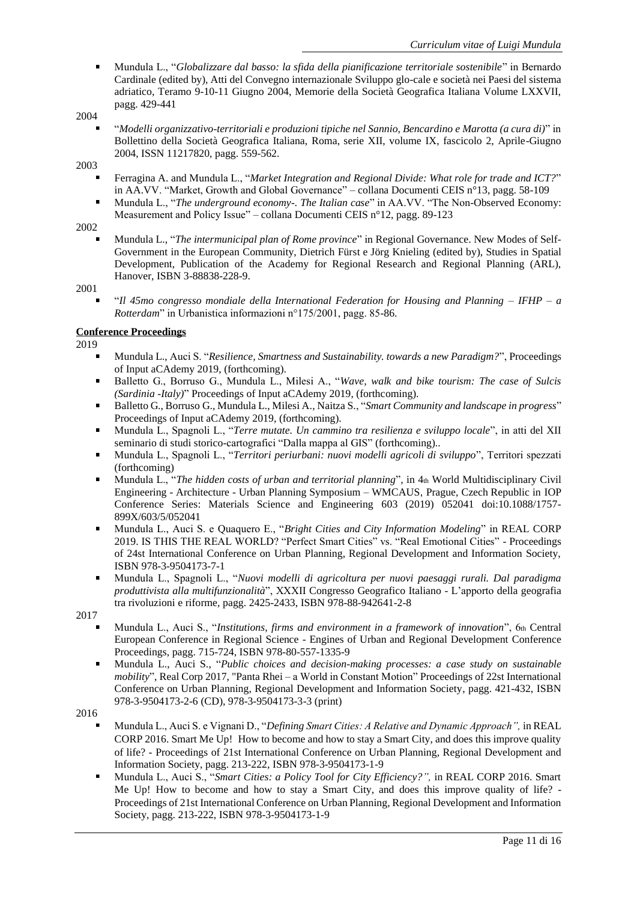Mundula L., "*Globalizzare dal basso: la sfida della pianificazione territoriale sostenibile*" in Bernardo Cardinale (edited by), Atti del Convegno internazionale Sviluppo glo-cale e società nei Paesi del sistema adriatico, Teramo 9-10-11 Giugno 2004, Memorie della Società Geografica Italiana Volume LXXVII, pagg. 429-441

## 2004

"*Modelli organizzativo-territoriali e produzioni tipiche nel Sannio, Bencardino e Marotta (a cura di)*" in Bollettino della Società Geografica Italiana, Roma, serie XII, volume IX, fascicolo 2, Aprile-Giugno 2004, ISSN 11217820, pagg. 559-562.

2003

- Ferragina A. and Mundula L., "*Market Integration and Regional Divide: What role for trade and ICT?*" in AA.VV. "Market, Growth and Global Governance" – collana Documenti CEIS n°13, pagg. 58-109
- Mundula L., "*The underground economy-. The Italian case*" in AA.VV. "The Non-Observed Economy:  $\blacksquare$ Measurement and Policy Issue" – collana Documenti CEIS n°12, pagg. 89-123

## 2002

Mundula L., "*The intermunicipal plan of Rome province*" in Regional Governance. New Modes of Self-Government in the European Community, Dietrich Fürst e Jörg Knieling (edited by), Studies in Spatial Development, Publication of the Academy for Regional Research and Regional Planning (ARL), Hanover, ISBN 3-88838-228-9.

2001

"*Il 45mo congresso mondiale della International Federation for Housing and Planning – IFHP – a Rotterdam*" in Urbanistica informazioni n°175/2001, pagg. 85-86.

# **Conference Proceedings**

2019

- Mundula L., Auci S. "*Resilience, Smartness and Sustainability. towards a new Paradigm?*", Proceedings of Input aCAdemy 2019, (forthcoming).
- $\blacksquare$ Balletto G., Borruso G., Mundula L., Milesi A., "*Wave, walk and bike tourism: The case of Sulcis (Sardinia -Italy)*" Proceedings of Input aCAdemy 2019, (forthcoming).
- $\blacksquare$ Balletto G., Borruso G., Mundula L., Milesi A., Naitza S., "*Smart Community and landscape in progress*" Proceedings of Input aCAdemy 2019, (forthcoming).
- Mundula L., Spagnoli L., "*Terre mutate. Un cammino tra resilienza e sviluppo locale*", in atti del XII seminario di studi storico-cartografici "Dalla mappa al GIS" (forthcoming)..
- $\blacksquare$ Mundula L., Spagnoli L., "*Territori periurbani: nuovi modelli agricoli di sviluppo*", Territori spezzati (forthcoming)
- Mundula L., "*The hidden costs of urban and territorial planning*", in 4th World Multidisciplinary Civil Engineering - Architecture - Urban Planning Symposium – WMCAUS, Prague, Czech Republic in IOP Conference Series: Materials Science and Engineering 603 (2019) 052041 doi:10.1088/1757- 899X/603/5/052041
- Mundula L., Auci S. e Quaquero E., "*Bright Cities and City Information Modeling*" in REAL CORP 2019. IS THIS THE REAL WORLD? "Perfect Smart Cities" vs. "Real Emotional Cities" - Proceedings of 24st International Conference on Urban Planning, Regional Development and Information Society, ISBN 978-3-9504173-7-1
- $\blacksquare$ Mundula L., Spagnoli L., "*Nuovi modelli di agricoltura per nuovi paesaggi rurali. Dal paradigma produttivista alla multifunzionalità*", XXXII Congresso Geografico Italiano - L'apporto della geografia tra rivoluzioni e riforme, pagg. 2425-2433, ISBN 978-88-942641-2-8

2017

- Mundula L., Auci S., "*Institutions, firms and environment in a framework of innovation*", 6th Central European Conference in Regional Science - Engines of Urban and Regional Development Conference Proceedings, pagg. 715-724, ISBN 978-80-557-1335-9
- Mundula L., Auci S., "*Public choices and decision-making processes: a case study on sustainable mobility*", Real Corp 2017, "Panta Rhei – a World in Constant Motion" Proceedings of 22st International Conference on Urban Planning, Regional Development and Information Society, pagg. 421-432, ISBN 978-3-9504173-2-6 (CD), 978-3-9504173-3-3 (print)

- Mundula L., Auci S. e Vignani D., "*Defining Smart Cities: A Relative and Dynamic Approach",* in REAL CORP 2016. Smart Me Up! How to become and how to stay a Smart City, and does this improve quality of life? - Proceedings of 21st International Conference on Urban Planning, Regional Development and Information Society, pagg. 213-222, ISBN 978-3-9504173-1-9
- Mundula L., Auci S., "*Smart Cities: a Policy Tool for City Efficiency?",* in REAL CORP 2016. Smart Me Up! How to become and how to stay a Smart City, and does this improve quality of life? - Proceedings of 21st International Conference on Urban Planning, Regional Development and Information Society, pagg. 213-222, ISBN 978-3-9504173-1-9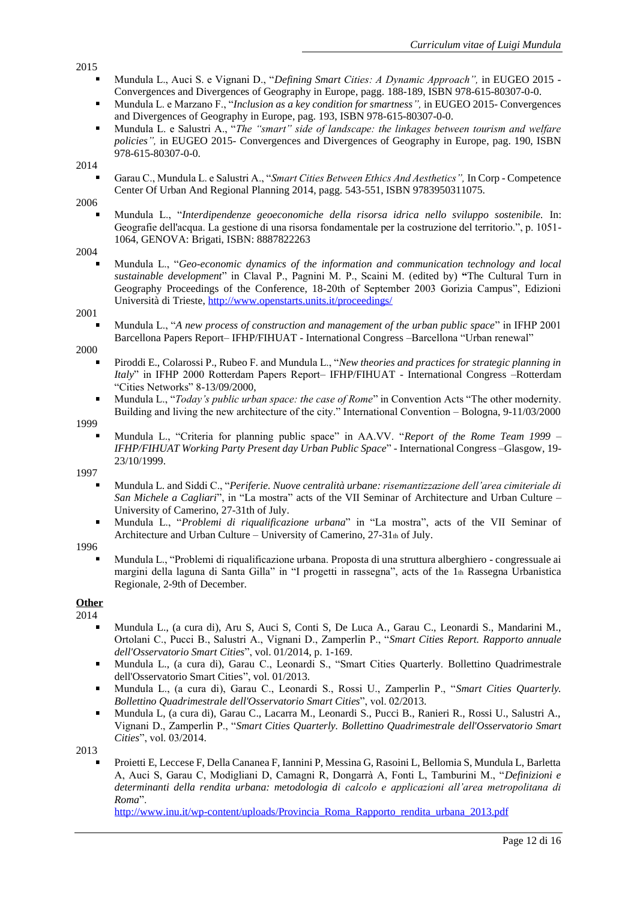- Mundula L., Auci S. e Vignani D., "*Defining Smart Cities: A Dynamic Approach",* in EUGEO 2015 Convergences and Divergences of Geography in Europe, pagg. 188-189, ISBN 978-615-80307-0-0.
- Mundula L. e Marzano F., "*Inclusion as a key condition for smartness",* in EUGEO 2015- Convergences  $\blacksquare$ and Divergences of Geography in Europe, pag. 193, ISBN 978-615-80307-0-0.
- $\blacksquare$ Mundula L. e Salustri A., "*The "smart" side of landscape: the linkages between tourism and welfare policies",* in EUGEO 2015- Convergences and Divergences of Geography in Europe, pag. 190, ISBN 978-615-80307-0-0.

### 2014

Garau C., Mundula L. e Salustri A., "*Smart Cities Between Ethics And Aesthetics",* In Corp - Competence Center Of Urban And Regional Planning 2014, pagg. 543-551, ISBN 9783950311075.

2006

Mundula L., "*Interdipendenze geoeconomiche della risorsa idrica nello sviluppo sostenibile.* In: Geografie dell'acqua. La gestione di una risorsa fondamentale per la costruzione del territorio.", p. 1051- 1064, GENOVA: Brigati, ISBN: 8887822263

### 2004

Mundula L., "*Geo-economic dynamics of the information and communication technology and local sustainable development*" in Claval P., Pagnini M. P., Scaini M. (edited by) **"**The Cultural Turn in Geography Proceedings of the Conference, 18-20th of September 2003 Gorizia Campus", Edizioni Università di Trieste,<http://www.openstarts.units.it/proceedings/>

## 2001

Mundula L., "*A new process of construction and management of the urban public space*" in IFHP 2001 Barcellona Papers Report– IFHP/FIHUAT - International Congress –Barcellona "Urban renewal"

### 2000

- Piroddi E., Colarossi P., Rubeo F. and Mundula L., "*New theories and practices for strategic planning in Italy*" in IFHP 2000 Rotterdam Papers Report– IFHP/FIHUAT - International Congress –Rotterdam "Cities Networks" 8-13/09/2000,
- $\blacksquare$ Mundula L., "*Today's public urban space: the case of Rome*" in Convention Acts "The other modernity. Building and living the new architecture of the city." International Convention – Bologna, 9-11/03/2000

## 1999

Mundula L., "Criteria for planning public space" in AA.VV. "*Report of the Rome Team 1999 – IFHP/FIHUAT Working Party Present day Urban Public Space*" - International Congress –Glasgow, 19- 23/10/1999.

1997

- Mundula L. and Siddi C., "*Periferie. Nuove centralità urbane: risemantizzazione dell'area cimiteriale di San Michele a Cagliari*", in "La mostra" acts of the VII Seminar of Architecture and Urban Culture – University of Camerino, 27-31th of July.
- Mundula L., "*Problemi di riqualificazione urbana*" in "La mostra", acts of the VII Seminar of  $\blacksquare$ Architecture and Urban Culture – University of Camerino,  $27-31$ th of July.

## 1996

Mundula L., "Problemi di riqualificazione urbana. Proposta di una struttura alberghiero - congressuale ai margini della laguna di Santa Gilla" in "I progetti in rassegna", acts of the 1th Rassegna Urbanistica Regionale, 2-9th of December.

#### **Other** 2014

- Mundula L., (a cura di), Aru S, Auci S, Conti S, De Luca A., Garau C., Leonardi S., Mandarini M., Ortolani C., Pucci B., Salustri A., Vignani D., Zamperlin P., "*Smart Cities Report. Rapporto annuale dell'Osservatorio Smart Cities*", vol. 01/2014, p. 1-169.
- $\blacksquare$ Mundula L., (a cura di), Garau C., Leonardi S., "Smart Cities Quarterly. Bollettino Quadrimestrale dell'Osservatorio Smart Cities", vol. 01/2013.
- Mundula L., (a cura di), Garau C., Leonardi S., Rossi U., Zamperlin P., "*Smart Cities Quarterly. Bollettino Quadrimestrale dell'Osservatorio Smart Cities*", vol. 02/2013.
- Mundula L, (a cura di), Garau C., Lacarra M., Leonardi S., Pucci B., Ranieri R., Rossi U., Salustri A.,  $\blacksquare$ Vignani D., Zamperlin P., "*Smart Cities Quarterly. Bollettino Quadrimestrale dell'Osservatorio Smart Cities*", vol. 03/2014.

2013

Proietti E, Leccese F, Della Cananea F, Iannini P, Messina G, Rasoini L, Bellomia S, Mundula L, Barletta A, Auci S, Garau C, Modigliani D, Camagni R, Dongarrà A, Fonti L, Tamburini M., "*Definizioni e determinanti della rendita urbana: metodologia di calcolo e applicazioni all'area metropolitana di Roma*".

[http://www.inu.it/wp-content/uploads/Provincia\\_Roma\\_Rapporto\\_rendita\\_urbana\\_2013.pdf](http://www.inu.it/wp-content/uploads/Provincia_Roma_Rapporto_rendita_urbana_2013.pdf)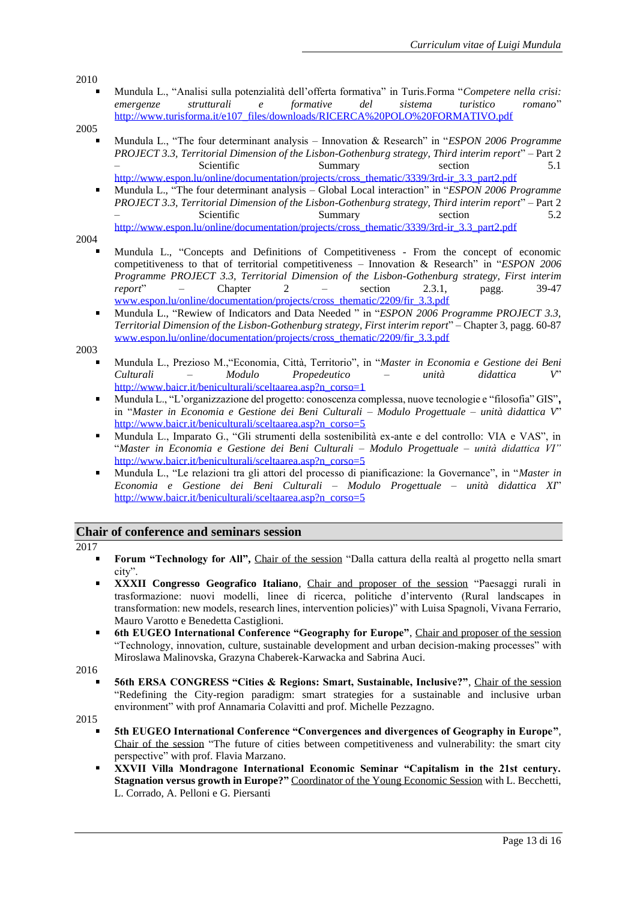Mundula L., "Analisi sulla potenzialità dell'offerta formativa" in Turis.Forma "*Competere nella crisi: emergenze strutturali e formative del sistema turistico romano*" [http://www.turisforma.it/e107\\_files/downloads/RICERCA%20POLO%20FORMATIVO.pdf](http://www.turisforma.it/e107_files/downloads/RICERCA%20POLO%20FORMATIVO.pdf)

## 2005

- Mundula L., "The four determinant analysis Innovation & Research" in "*ESPON 2006 Programme PROJECT 3.3, Territorial Dimension of the Lisbon-Gothenburg strategy, Third interim report*" – Part 2 – Scientific Summary section 5.1 [http://www.espon.lu/online/documentation/projects/cross\\_thematic/3339/3rd-ir\\_3.3\\_part2.pdf](http://www.espon.lu/online/documentation/projects/cross_thematic/3339/3rd-ir_3.3_part2.pdf)
- Mundula L., "The four determinant analysis Global Local interaction" in "*ESPON 2006 Programme PROJECT 3.3, Territorial Dimension of the Lisbon-Gothenburg strategy, Third interim report*" – Part 2 – Scientific Summary section 5.2 [http://www.espon.lu/online/documentation/projects/cross\\_thematic/3339/3rd-ir\\_3.3\\_part2.pdf](http://www.espon.lu/online/documentation/projects/cross_thematic/3339/3rd-ir_3.3_part2.pdf)

2004

- Mundula L., "Concepts and Definitions of Competitiveness From the concept of economic competitiveness to that of territorial competitiveness – Innovation & Research" in "*ESPON 2006 Programme PROJECT 3.3, Territorial Dimension of the Lisbon-Gothenburg strategy, First interim report*" – Chapter 2 – section 2.3.1, pagg. 39-47 [www.espon.lu/online/documentation/projects/cross\\_thematic/2209/fir\\_3.3.pdf](http://www.espon.lu/online/documentation/projects/cross_thematic/2209/fir_3.3.pdf)
- Mundula L., "Rewiew of Indicators and Data Needed " in "*ESPON 2006 Programme PROJECT 3.3, Territorial Dimension of the Lisbon-Gothenburg strategy, First interim report*" – Chapter 3, pagg. 60-87 [www.espon.lu/online/documentation/projects/cross\\_thematic/2209/fir\\_3.3.pdf](http://www.espon.lu/online/documentation/projects/cross_thematic/2209/fir_3.3.pdf)

2003

- Mundula L., Prezioso M.,"Economia, Città, Territorio", in "*Master in Economia e Gestione dei Beni Culturali – Modulo Propedeutico – unità didattica V*" [http://www.baicr.it/beniculturali/sceltaarea.asp?n\\_corso=1](http://www.baicr.it/beniculturali/sceltaarea.asp?n_corso=1)
- $\blacksquare$ Mundula L., "L'organizzazione del progetto: conoscenza complessa, nuove tecnologie e "filosofia" GIS"**,** in "*Master in Economia e Gestione dei Beni Culturali – Modulo Progettuale – unità didattica V*" [http://www.baicr.it/beniculturali/sceltaarea.asp?n\\_corso=5](http://www.baicr.it/beniculturali/sceltaarea.asp?n_corso=5)
- Mundula L., Imparato G., "Gli strumenti della sostenibilità ex-ante e del controllo: VIA e VAS", in "*Master in Economia e Gestione dei Beni Culturali – Modulo Progettuale – unità didattica VI"* [http://www.baicr.it/beniculturali/sceltaarea.asp?n\\_corso=5](http://www.baicr.it/beniculturali/sceltaarea.asp?n_corso=5)
- Mundula L., "Le relazioni tra gli attori del processo di pianificazione: la Governance", in "*Master in Economia e Gestione dei Beni Culturali – Modulo Progettuale – unità didattica XI*" [http://www.baicr.it/beniculturali/sceltaarea.asp?n\\_corso=5](http://www.baicr.it/beniculturali/sceltaarea.asp?n_corso=5)

# **Chair of conference and seminars session**

- 2017
	- **Forum "Technology for All",** Chair of the session "Dalla cattura della realtà al progetto nella smart city".
	- **XXXII Congresso Geografico Italiano**, Chair and proposer of the session "Paesaggi rurali in trasformazione: nuovi modelli, linee di ricerca, politiche d'intervento (Rural landscapes in transformation: new models, research lines, intervention policies)" with Luisa Spagnoli, Vivana Ferrario, Mauro Varotto e Benedetta Castiglioni.
	- **6th EUGEO International Conference "Geography for Europe"**, Chair and proposer of the session "Technology, innovation, culture, sustainable development and urban decision-making processes" with Miroslawa Malinovska, Grazyna Chaberek-Karwacka and Sabrina Auci.
- 2016
	- **56th ERSA CONGRESS "Cities & Regions: Smart, Sustainable, Inclusive?"**, Chair of the session "Redefining the City-region paradigm: smart strategies for a sustainable and inclusive urban environment" with prof Annamaria Colavitti and prof. Michelle Pezzagno.
- 2015
	- **5th EUGEO International Conference "Convergences and divergences of Geography in Europe"**, Chair of the session "The future of cities between competitiveness and vulnerability: the smart city perspective" with prof. Flavia Marzano.
	- $\blacksquare$ **XXVII Villa Mondragone International Economic Seminar "Capitalism in the 21st century. Stagnation versus growth in Europe?"** Coordinator of the Young Economic Session with L. Becchetti, L. Corrado, A. Pelloni e G. Piersanti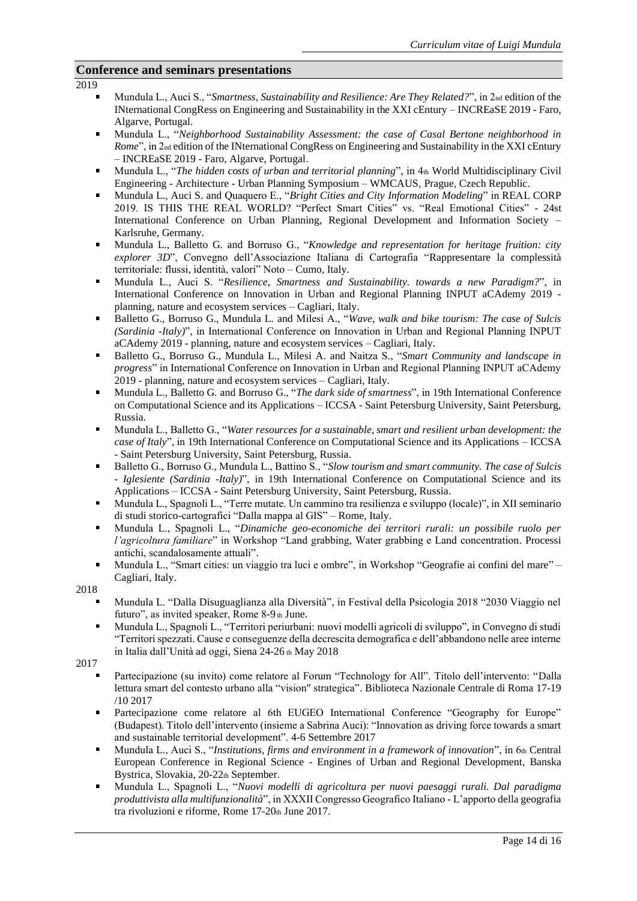# **Conference and seminars presentations**

2019

- Mundula L., Auci S., "*Smartness, Sustainability and Resilience: Are They Related?*", in 2<sub>nd</sub> edition of the INternational CongRess on Engineering and Sustainability in the XXI cEntury – INCREaSE 2019 - Faro, Algarve, Portugal.
- Mundula L., "*Neighborhood Sustainability Assessment: the case of Casal Bertone neighborhood in Rome*", in 2<sub>nd</sub> edition of the INternational CongRess on Engineering and Sustainability in the XXI cEntury – INCREaSE 2019 - Faro, Algarve, Portugal.
- Mundula L., "*The hidden costs of urban and territorial planning*", in 4th World Multidisciplinary Civil Engineering - Architecture - Urban Planning Symposium – WMCAUS, Prague, Czech Republic.
- Mundula L., Auci S. and Quaquero E., "*Bright Cities and City Information Modeling*" in REAL CORP 2019. IS THIS THE REAL WORLD? "Perfect Smart Cities" vs. "Real Emotional Cities" - 24st International Conference on Urban Planning, Regional Development and Information Society – Karlsruhe, Germany.
- Mundula L., Balletto G. and Borruso G., "*Knowledge and representation for heritage fruition: city explorer 3D*", Convegno dell'Associazione Italiana di Cartografia "Rappresentare la complessità territoriale: flussi, identità, valori" Noto – Cumo, Italy.
- Mundula L., Auci S. "*Resilience, Smartness and Sustainability. towards a new Paradigm?*", in International Conference on Innovation in Urban and Regional Planning INPUT aCAdemy 2019 planning, nature and ecosystem services – Cagliari, Italy.
- Balletto G., Borruso G., Mundula L. and Milesi A., "*Wave, walk and bike tourism: The case of Sulcis (Sardinia -Italy)*", in International Conference on Innovation in Urban and Regional Planning INPUT aCAdemy 2019 - planning, nature and ecosystem services – Cagliari, Italy.
- Balletto G., Borruso G., Mundula L., Milesi A. and Naitza S., "*Smart Community and landscape in progress*" in International Conference on Innovation in Urban and Regional Planning INPUT aCAdemy 2019 - planning, nature and ecosystem services – Cagliari, Italy.
- Mundula L., Balletto G. and Borruso G., "*The dark side of smartness*", in 19th International Conference on Computational Science and its Applications – ICCSA - Saint Petersburg University, Saint Petersburg, Russia.
- Mundula L., Balletto G., "*Water resources for a sustainable, smart and resilient urban development: the case of Italy*", in 19th International Conference on Computational Science and its Applications – ICCSA - Saint Petersburg University, Saint Petersburg, Russia.
- Balletto G., Borruso G., Mundula L., Battino S., "*Slow tourism and smart community. The case of Sulcis - Iglesiente (Sardinia -Italy)*", in 19th International Conference on Computational Science and its Applications – ICCSA - Saint Petersburg University, Saint Petersburg, Russia.
- Mundula L., Spagnoli L., "Terre mutate. Un cammino tra resilienza e sviluppo (locale)", in XII seminario  $\blacksquare$ di studi storico-cartografici "Dalla mappa al GIS" – Rome, Italy.
- Mundula L., Spagnoli L., "*Dinamiche geo-economiche dei territori rurali: un possibile ruolo per l'agricoltura familiare*" in Workshop "Land grabbing, Water grabbing e Land concentration. Processi antichi, scandalosamente attuali".
- Mundula L., "Smart cities: un viaggio tra luci e ombre", in Workshop "Geografie ai confini del mare" Cagliari, Italy.
- 2018
	- Mundula L. "Dalla Disuguaglianza alla Diversità", in Festival della Psicologia 2018 "2030 Viaggio nel futuro", as invited speaker, Rome 8-9 th June.
	- Mundula L., Spagnoli L., "Territori periurbani: nuovi modelli agricoli di sviluppo", in Convegno di studi "Territori spezzati. Cause e conseguenze della decrescita demografica e dell'abbandono nelle aree interne in Italia dall'Unità ad oggi, Siena 24-26 th May 2018

- Partecipazione (su invito) come relatore al Forum "Technology for All". Titolo dell'intervento: "Dalla lettura smart del contesto urbano alla "vision" strategica". Biblioteca Nazionale Centrale di Roma 17-19 /10 2017
- Partecipazione come relatore al 6th EUGEO International Conference "Geography for Europe" (Budapest). Titolo dell'intervento (insieme a Sabrina Auci): "Innovation as driving force towards a smart and sustainable territorial development". 4-6 Settembre 2017
- Mundula L., Auci S., "*Institutions, firms and environment in a framework of innovation*", in 6th Central European Conference in Regional Science - Engines of Urban and Regional Development, Banska Bystrica, Slovakia, 20-22th September.
- Mundula L., Spagnoli L., "*Nuovi modelli di agricoltura per nuovi paesaggi rurali. Dal paradigma produttivista alla multifunzionalità*", in XXXII Congresso Geografico Italiano - L'apporto della geografia tra rivoluzioni e riforme, Rome 17-20th June 2017.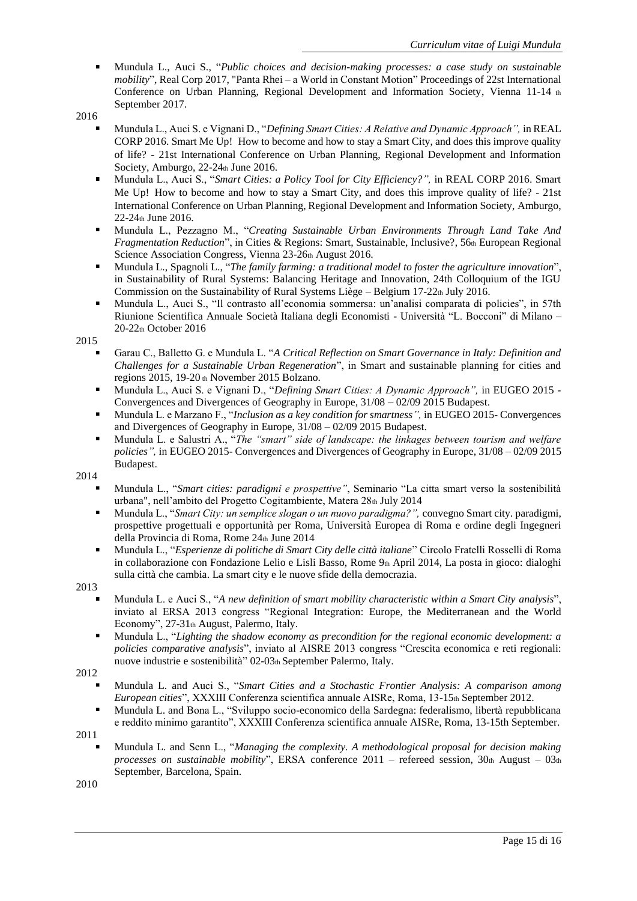- Mundula L., Auci S., "*Public choices and decision-making processes: a case study on sustainable mobility*", Real Corp 2017, "Panta Rhei – a World in Constant Motion" Proceedings of 22st International Conference on Urban Planning, Regional Development and Information Society, Vienna 11-14 th September 2017.
- 2016
	- Mundula L., Auci S. e Vignani D., "*Defining Smart Cities: A Relative and Dynamic Approach",* in REAL CORP 2016. Smart Me Up! How to become and how to stay a Smart City, and does this improve quality of life? - 21st International Conference on Urban Planning, Regional Development and Information Society, Amburgo,  $22-24$ <sub>th</sub> June 2016.
	- Mundula L., Auci S., "*Smart Cities: a Policy Tool for City Efficiency?",* in REAL CORP 2016. Smart Me Up! How to become and how to stay a Smart City, and does this improve quality of life? - 21st International Conference on Urban Planning, Regional Development and Information Society, Amburgo, 22-24th June 2016.
	- Mundula L., Pezzagno M., "*Creating Sustainable Urban Environments Through Land Take And Fragmentation Reduction*", in Cities & Regions: Smart, Sustainable, Inclusive?, 56th European Regional Science Association Congress, Vienna 23-26th August 2016.
	- $\blacksquare$ Mundula L., Spagnoli L., "*The family farming: a traditional model to foster the agriculture innovation*", in Sustainability of Rural Systems: Balancing Heritage and Innovation, 24th Colloquium of the IGU Commission on the Sustainability of Rural Systems Liège – Belgium 17-22th July 2016.
	- $\blacksquare$ Mundula L., Auci S., "Il contrasto all'economia sommersa: un'analisi comparata di policies", in 57th Riunione Scientifica Annuale Società Italiana degli Economisti - Università "L. Bocconi" di Milano – 20-22th October 2016

- Garau C., Balletto G. e Mundula L. "*A Critical Reflection on Smart Governance in Italy: Definition and Challenges for a Sustainable Urban Regeneration*", in Smart and sustainable planning for cities and regions 2015, 19-20 th November 2015 Bolzano.
- Mundula L., Auci S. e Vignani D., "*Defining Smart Cities: A Dynamic Approach",* in EUGEO 2015 Convergences and Divergences of Geography in Europe, 31/08 – 02/09 2015 Budapest.
- $\blacksquare$ Mundula L. e Marzano F., "*Inclusion as a key condition for smartness",* in EUGEO 2015- Convergences and Divergences of Geography in Europe, 31/08 – 02/09 2015 Budapest.
- Mundula L. e Salustri A., "*The "smart" side of landscape: the linkages between tourism and welfare policies",* in EUGEO 2015- Convergences and Divergences of Geography in Europe, 31/08 – 02/09 2015 Budapest.

2014

- Mundula L., "*Smart cities: paradigmi e prospettive"*, Seminario "La citta smart verso la sostenibilità urbana", nell'ambito del Progetto Cogitambiente, Matera 28th July 2014
- $\blacksquare$ Mundula L., "*Smart City: un semplice slogan o un nuovo paradigma?",* convegno Smart city. paradigmi, prospettive progettuali e opportunità per Roma, Università Europea di Roma e ordine degli Ingegneri della Provincia di Roma, Rome 24th June 2014
- $\blacksquare$ Mundula L., "*Esperienze di politiche di Smart City delle città italiane*" Circolo Fratelli Rosselli di Roma in collaborazione con Fondazione Lelio e Lisli Basso, Rome 9th April 2014, La posta in gioco: dialoghi sulla città che cambia. La smart city e le nuove sfide della democrazia.
- 2013
	- Mundula L. e Auci S., "*A new definition of smart mobility characteristic within a Smart City analysis*", inviato al ERSA 2013 congress "Regional Integration: Europe, the Mediterranean and the World Economy", 27-31th August, Palermo, Italy.
	- Mundula L., "*Lighting the shadow economy as precondition for the regional economic development: a policies comparative analysis*", inviato al AISRE 2013 congress "Crescita economica e reti regionali: nuove industrie e sostenibilità" 02-03th September Palermo, Italy.

- Mundula L. and Auci S., "*Smart Cities and a Stochastic Frontier Analysis: A comparison among European cities*", XXXIII Conferenza scientifica annuale AISRe, Roma, 13-15th September 2012.
- Mundula L. and Bona L., "Sviluppo socio-economico della Sardegna: federalismo, libertà repubblicana e reddito minimo garantito", XXXIII Conferenza scientifica annuale AISRe, Roma, 13-15th September.

2011

Mundula L. and Senn L., "*Managing the complexity. A methodological proposal for decision making processes on sustainable mobility*", ERSA conference  $2011$  – refereed session,  $30<sub>th</sub>$  August –  $03<sub>th</sub>$ September, Barcelona, Spain.

<sup>2012</sup>